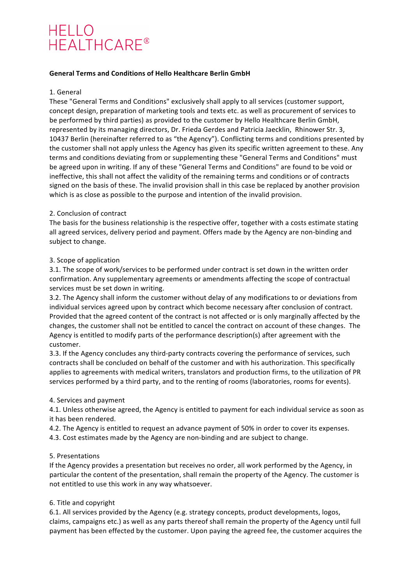# **HELLO** HELLO<br>HEALTHCARE®

#### General Terms and Conditions of Hello Healthcare Berlin GmbH

#### 1. General

These "General Terms and Conditions" exclusively shall apply to all services (customer support, concept design, preparation of marketing tools and texts etc. as well as procurement of services to be performed by third parties) as provided to the customer by Hello Healthcare Berlin GmbH, represented by its managing directors, Dr. Frieda Gerdes and Patricia Jaecklin, Rhinower Str. 3, 10437 Berlin (hereinafter referred to as "the Agency"). Conflicting terms and conditions presented by the customer shall not apply unless the Agency has given its specific written agreement to these. Any terms and conditions deviating from or supplementing these "General Terms and Conditions" must be agreed upon in writing. If any of these "General Terms and Conditions" are found to be void or ineffective, this shall not affect the validity of the remaining terms and conditions or of contracts signed on the basis of these. The invalid provision shall in this case be replaced by another provision which is as close as possible to the purpose and intention of the invalid provision.

#### 2. Conclusion of contract

The basis for the business relationship is the respective offer, together with a costs estimate stating all agreed services, delivery period and payment. Offers made by the Agency are non-binding and subject to change.

#### 3. Scope of application

3.1. The scope of work/services to be performed under contract is set down in the written order confirmation. Any supplementary agreements or amendments affecting the scope of contractual services must be set down in writing.

3.2. The Agency shall inform the customer without delay of any modifications to or deviations from individual services agreed upon by contract which become necessary after conclusion of contract. Provided that the agreed content of the contract is not affected or is only marginally affected by the changes, the customer shall not be entitled to cancel the contract on account of these changes. The Agency is entitled to modify parts of the performance description(s) after agreement with the customer.

3.3. If the Agency concludes any third-party contracts covering the performance of services, such contracts shall be concluded on behalf of the customer and with his authorization. This specifically applies to agreements with medical writers, translators and production firms, to the utilization of PR services performed by a third party, and to the renting of rooms (laboratories, rooms for events).

## 4. Services and payment

4.1. Unless otherwise agreed, the Agency is entitled to payment for each individual service as soon as it has been rendered.

4.2. The Agency is entitled to request an advance payment of 50% in order to cover its expenses. 4.3. Cost estimates made by the Agency are non-binding and are subject to change.

## 5. Presentations

If the Agency provides a presentation but receives no order, all work performed by the Agency, in particular the content of the presentation, shall remain the property of the Agency. The customer is not entitled to use this work in any way whatsoever.

## 6. Title and copyright

6.1. All services provided by the Agency (e.g. strategy concepts, product developments, logos, claims, campaigns etc.) as well as any parts thereof shall remain the property of the Agency until full payment has been effected by the customer. Upon paying the agreed fee, the customer acquires the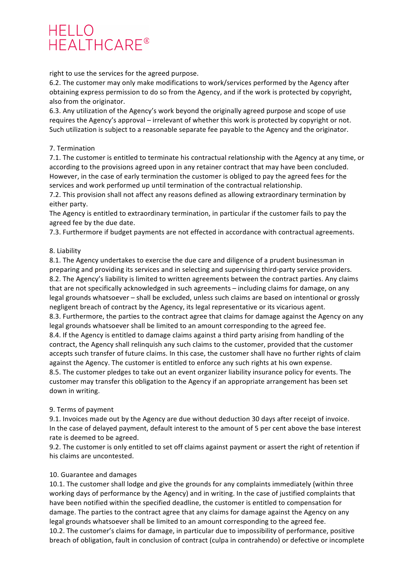## **HELLO** HEALTHCARE®

right to use the services for the agreed purpose.

6.2. The customer may only make modifications to work/services performed by the Agency after obtaining express permission to do so from the Agency, and if the work is protected by copyright, also from the originator.

6.3. Any utilization of the Agency's work beyond the originally agreed purpose and scope of use requires the Agency's approval – irrelevant of whether this work is protected by copyright or not. Such utilization is subject to a reasonable separate fee payable to the Agency and the originator.

## 7. Termination

7.1. The customer is entitled to terminate his contractual relationship with the Agency at any time, or according to the provisions agreed upon in any retainer contract that may have been concluded. However, in the case of early termination the customer is obliged to pay the agreed fees for the services and work performed up until termination of the contractual relationship.

7.2. This provision shall not affect any reasons defined as allowing extraordinary termination by either party.

The Agency is entitled to extraordinary termination, in particular if the customer fails to pay the agreed fee by the due date.

7.3. Furthermore if budget payments are not effected in accordance with contractual agreements.

## 8. Liability

8.1. The Agency undertakes to exercise the due care and diligence of a prudent businessman in preparing and providing its services and in selecting and supervising third-party service providers. 8.2. The Agency's liability is limited to written agreements between the contract parties. Any claims that are not specifically acknowledged in such agreements – including claims for damage, on any legal grounds whatsoever – shall be excluded, unless such claims are based on intentional or grossly negligent breach of contract by the Agency, its legal representative or its vicarious agent. 8.3. Furthermore, the parties to the contract agree that claims for damage against the Agency on any legal grounds whatsoever shall be limited to an amount corresponding to the agreed fee. 8.4. If the Agency is entitled to damage claims against a third party arising from handling of the contract, the Agency shall relinquish any such claims to the customer, provided that the customer accepts such transfer of future claims. In this case, the customer shall have no further rights of claim against the Agency. The customer is entitled to enforce any such rights at his own expense. 8.5. The customer pledges to take out an event organizer liability insurance policy for events. The customer may transfer this obligation to the Agency if an appropriate arrangement has been set down in writing.

## 9. Terms of payment

9.1. Invoices made out by the Agency are due without deduction 30 days after receipt of invoice. In the case of delayed payment, default interest to the amount of 5 per cent above the base interest rate is deemed to be agreed.

9.2. The customer is only entitled to set off claims against payment or assert the right of retention if his claims are uncontested.

## 10. Guarantee and damages

10.1. The customer shall lodge and give the grounds for any complaints immediately (within three working days of performance by the Agency) and in writing. In the case of justified complaints that have been notified within the specified deadline, the customer is entitled to compensation for damage. The parties to the contract agree that any claims for damage against the Agency on any legal grounds whatsoever shall be limited to an amount corresponding to the agreed fee. 10.2. The customer's claims for damage, in particular due to impossibility of performance, positive breach of obligation, fault in conclusion of contract (culpa in contrahendo) or defective or incomplete